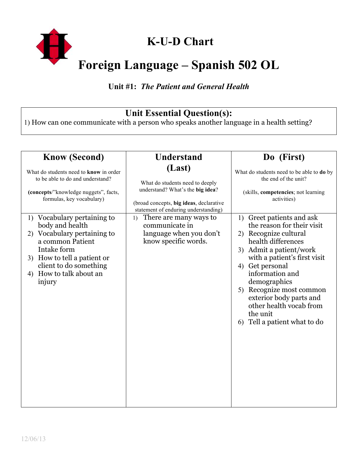

# **K-U-D Chart**

# **Foreign Language – Spanish 502 OL**

#### **Unit #1:** *The Patient and General Health*

#### **Unit Essential Question(s):**

1) How can one communicate with a person who speaks another language in a health setting?

| <b>Know (Second)</b>                                                                                                                                                                                                                                                                                                                                                        | <b>Understand</b>                                                                                                                                                                                                                                                     | Do (First)                                                                                                                                                                                                                                                                                                                                                                                                                                                                                      |
|-----------------------------------------------------------------------------------------------------------------------------------------------------------------------------------------------------------------------------------------------------------------------------------------------------------------------------------------------------------------------------|-----------------------------------------------------------------------------------------------------------------------------------------------------------------------------------------------------------------------------------------------------------------------|-------------------------------------------------------------------------------------------------------------------------------------------------------------------------------------------------------------------------------------------------------------------------------------------------------------------------------------------------------------------------------------------------------------------------------------------------------------------------------------------------|
| What do students need to know in order<br>to be able to do and understand?<br>(concepts/"knowledge nuggets", facts,<br>formulas, key vocabulary)<br>1) Vocabulary pertaining to<br>body and health<br>Vocabulary pertaining to<br>2)<br>a common Patient<br>Intake form<br>How to tell a patient or<br>3)<br>client to do something<br>How to talk about an<br>4)<br>injury | (Last)<br>What do students need to deeply<br>understand? What's the big idea?<br>(broad concepts, big ideas, declarative<br>statement of enduring understanding)<br>There are many ways to<br>1)<br>communicate in<br>language when you don't<br>know specific words. | What do students need to be able to do by<br>the end of the unit?<br>(skills, competencies; not learning<br>activities)<br>Greet patients and ask<br>1)<br>the reason for their visit<br>Recognize cultural<br>2)<br>health differences<br>3) Admit a patient/work<br>with a patient's first visit<br>Get personal<br>4)<br>information and<br>demographics<br>Recognize most common<br>5)<br>exterior body parts and<br>other health vocab from<br>the unit<br>Tell a patient what to do<br>6) |
|                                                                                                                                                                                                                                                                                                                                                                             |                                                                                                                                                                                                                                                                       |                                                                                                                                                                                                                                                                                                                                                                                                                                                                                                 |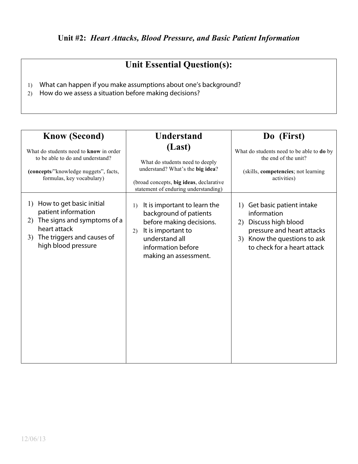1) What can happen if you make assumptions about one's background?

2) How do we assess a situation before making decisions?

| <b>Know (Second)</b><br>What do students need to know in order<br>to be able to do and understand?<br>(concepts/"knowledge nuggets", facts,<br>formulas, key vocabulary) | <b>Understand</b><br>(Last)<br>What do students need to deeply<br>understand? What's the big idea?<br>(broad concepts, big ideas, declarative<br>statement of enduring understanding) | Do (First)<br>What do students need to be able to do by<br>the end of the unit?<br>(skills, competencies; not learning<br>activities)                                  |
|--------------------------------------------------------------------------------------------------------------------------------------------------------------------------|---------------------------------------------------------------------------------------------------------------------------------------------------------------------------------------|------------------------------------------------------------------------------------------------------------------------------------------------------------------------|
| How to get basic initial<br>1)<br>patient information<br>The signs and symptoms of a<br>2)<br>heart attack<br>The triggers and causes of<br>3)<br>high blood pressure    | It is important to learn the<br>1)<br>background of patients<br>before making decisions.<br>It is important to<br>2)<br>understand all<br>information before<br>making an assessment. | 1) Get basic patient intake<br>information<br>Discuss high blood<br>2)<br>pressure and heart attacks<br>Know the questions to ask<br>3)<br>to check for a heart attack |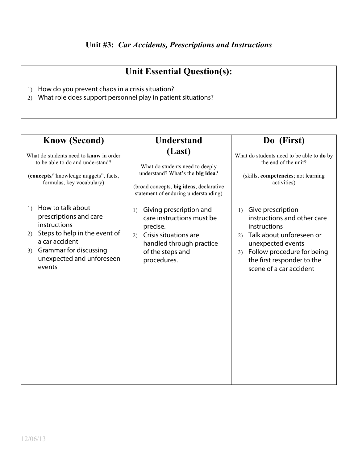- 1) How do you prevent chaos in a crisis situation?
- 2) What role does support personnel play in patient situations?

| <b>Know (Second)</b>                                                                                                                                                                                     | <b>Understand</b>                                                                                                                                                    | Do (First)                                                                                                                                                                                                                              |
|----------------------------------------------------------------------------------------------------------------------------------------------------------------------------------------------------------|----------------------------------------------------------------------------------------------------------------------------------------------------------------------|-----------------------------------------------------------------------------------------------------------------------------------------------------------------------------------------------------------------------------------------|
| What do students need to know in order<br>to be able to do and understand?<br>(concepts/"knowledge nuggets", facts,<br>formulas, key vocabulary)                                                         | (Last)<br>What do students need to deeply<br>understand? What's the big idea?<br>(broad concepts, big ideas, declarative<br>statement of enduring understanding)     | What do students need to be able to do by<br>the end of the unit?<br>(skills, competencies; not learning<br>activities)                                                                                                                 |
| How to talk about<br>1)<br>prescriptions and care<br>instructions<br>Steps to help in the event of<br>2)<br>a car accident<br><b>Grammar for discussing</b><br>3)<br>unexpected and unforeseen<br>events | Giving prescription and<br>1)<br>care instructions must be<br>precise.<br>Crisis situations are<br>2)<br>handled through practice<br>of the steps and<br>procedures. | Give prescription<br>1)<br>instructions and other care<br>instructions<br>Talk about unforeseen or<br>(2)<br>unexpected events<br>Follow procedure for being<br>3 <sup>)</sup><br>the first responder to the<br>scene of a car accident |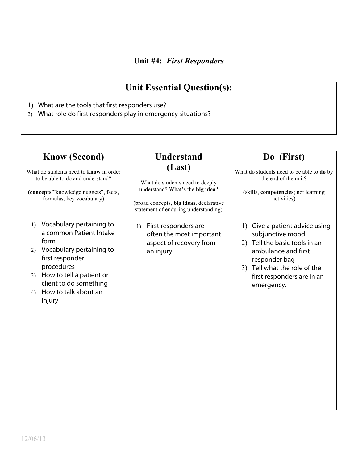#### **Unit #4:** *First Responders*

- 1) What are the tools that first responders use?
- 2) What role do first responders play in emergency situations?

| <b>Know (Second)</b>                                                                                                                                                                                                                                            | <b>Understand</b>                                                                                                                                                | Do (First)                                                                                                                                                                                              |
|-----------------------------------------------------------------------------------------------------------------------------------------------------------------------------------------------------------------------------------------------------------------|------------------------------------------------------------------------------------------------------------------------------------------------------------------|---------------------------------------------------------------------------------------------------------------------------------------------------------------------------------------------------------|
| What do students need to know in order<br>to be able to do and understand?<br>(concepts/"knowledge nuggets", facts,<br>formulas, key vocabulary)                                                                                                                | (Last)<br>What do students need to deeply<br>understand? What's the big idea?<br>(broad concepts, big ideas, declarative<br>statement of enduring understanding) | What do students need to be able to do by<br>the end of the unit?<br>(skills, competencies; not learning<br>activities)                                                                                 |
| Vocabulary pertaining to<br>$\left( \frac{1}{2} \right)$<br>a common Patient Intake<br>form<br>Vocabulary pertaining to<br>2)<br>first responder<br>procedures<br>3) How to tell a patient or<br>client to do something<br>How to talk about an<br>4)<br>injury | First responders are<br>1)<br>often the most important<br>aspect of recovery from<br>an injury.                                                                  | 1) Give a patient advice using<br>subjunctive mood<br>2) Tell the basic tools in an<br>ambulance and first<br>responder bag<br>3) Tell what the role of the<br>first responders are in an<br>emergency. |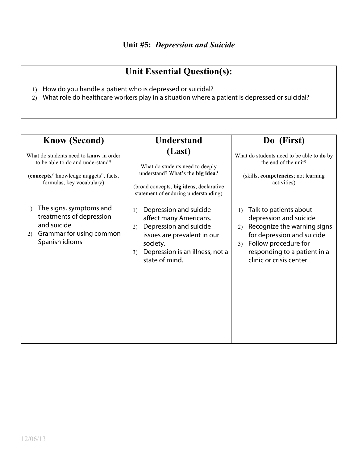- 1) How do you handle a patient who is depressed or suicidal?
- 2) What role do healthcare workers play in a situation where a patient is depressed or suicidal?

| <b>Know (Second)</b>                                                                                                                             | <b>Understand</b>                                                                                                                                                                            | Do (First)                                                                                                                                                                                                                       |
|--------------------------------------------------------------------------------------------------------------------------------------------------|----------------------------------------------------------------------------------------------------------------------------------------------------------------------------------------------|----------------------------------------------------------------------------------------------------------------------------------------------------------------------------------------------------------------------------------|
| What do students need to know in order<br>to be able to do and understand?<br>(concepts/"knowledge nuggets", facts,<br>formulas, key vocabulary) | (Last)<br>What do students need to deeply<br>understand? What's the big idea?<br>(broad concepts, big ideas, declarative<br>statement of enduring understanding)                             | What do students need to be able to do by<br>the end of the unit?<br>(skills, competencies; not learning<br>activities)                                                                                                          |
| The signs, symptoms and<br>1)<br>treatments of depression<br>and suicide<br>Grammar for using common<br>2)<br>Spanish idioms                     | Depression and suicide<br>1)<br>affect many Americans.<br>Depression and suicide<br>2)<br>issues are prevalent in our<br>society.<br>Depression is an illness, not a<br>3)<br>state of mind. | Talk to patients about<br>$\left( \right)$<br>depression and suicide<br>Recognize the warning signs<br>2)<br>for depression and suicide<br>Follow procedure for<br>3)<br>responding to a patient in a<br>clinic or crisis center |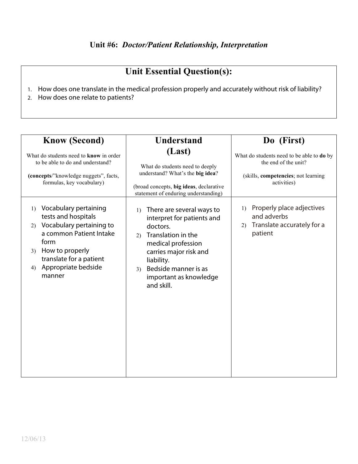- 1. How does one translate in the medical profession properly and accurately without risk of liability?
- 2. How does one relate to patients?

| <b>Know (Second)</b>                                                                                                                                                                                                            | <b>Understand</b>                                                                                                                                                                                                                                       | Do (First)                                                                                                              |
|---------------------------------------------------------------------------------------------------------------------------------------------------------------------------------------------------------------------------------|---------------------------------------------------------------------------------------------------------------------------------------------------------------------------------------------------------------------------------------------------------|-------------------------------------------------------------------------------------------------------------------------|
| What do students need to know in order<br>to be able to do and understand?<br>(concepts/"knowledge nuggets", facts,<br>formulas, key vocabulary)                                                                                | (Last)<br>What do students need to deeply<br>understand? What's the big idea?<br>(broad concepts, big ideas, declarative<br>statement of enduring understanding)                                                                                        | What do students need to be able to do by<br>the end of the unit?<br>(skills, competencies; not learning<br>activities) |
| Vocabulary pertaining<br>1)<br>tests and hospitals<br>Vocabulary pertaining to<br>(2)<br>a common Patient Intake<br>form<br>How to properly<br>3 <sup>)</sup><br>translate for a patient<br>Appropriate bedside<br>4)<br>manner | There are several ways to<br>$\left( \right)$<br>interpret for patients and<br>doctors.<br>Translation in the<br>2)<br>medical profession<br>carries major risk and<br>liability.<br>Bedside manner is as<br>3)<br>important as knowledge<br>and skill. | Properly place adjectives<br>1)<br>and adverbs<br>Translate accurately for a<br>2)<br>patient                           |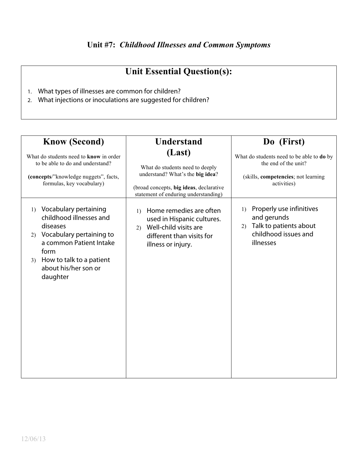- 1. What types of illnesses are common for children?
- 2. What injections or inoculations are suggested for children?

| <b>Know (Second)</b>                                                                                                                                                                                           | <b>Understand</b>                                                                                                                                                | Do (First)                                                                                                              |
|----------------------------------------------------------------------------------------------------------------------------------------------------------------------------------------------------------------|------------------------------------------------------------------------------------------------------------------------------------------------------------------|-------------------------------------------------------------------------------------------------------------------------|
| What do students need to know in order<br>to be able to do and understand?<br>(concepts/"knowledge nuggets", facts,<br>formulas, key vocabulary)                                                               | (Last)<br>What do students need to deeply<br>understand? What's the big idea?<br>(broad concepts, big ideas, declarative<br>statement of enduring understanding) | What do students need to be able to do by<br>the end of the unit?<br>(skills, competencies; not learning<br>activities) |
| Vocabulary pertaining<br>1)<br>childhood illnesses and<br>diseases<br>Vocabulary pertaining to<br>(2)<br>a common Patient Intake<br>form<br>How to talk to a patient<br>3)<br>about his/her son or<br>daughter | Home remedies are often<br>$\left( \right)$<br>used in Hispanic cultures.<br>Well-child visits are<br>2)<br>different than visits for<br>illness or injury.      | Properly use infinitives<br>1)<br>and gerunds<br>Talk to patients about<br>2)<br>childhood issues and<br>illnesses      |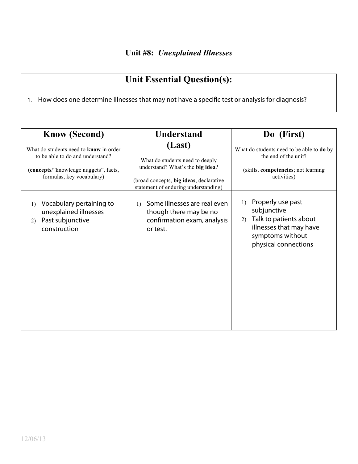1. How does one determine illnesses that may not have a specific test or analysis for diagnosis?

| <b>Know (Second)</b>                                                                                                                                    | <b>Understand</b>                                                                                                                                                | Do (First)                                                                                                                                                  |
|---------------------------------------------------------------------------------------------------------------------------------------------------------|------------------------------------------------------------------------------------------------------------------------------------------------------------------|-------------------------------------------------------------------------------------------------------------------------------------------------------------|
| What do students need to <b>know</b> in order<br>to be able to do and understand?<br>(concepts/"knowledge nuggets", facts,<br>formulas, key vocabulary) | (Last)<br>What do students need to deeply<br>understand? What's the big idea?<br>(broad concepts, big ideas, declarative<br>statement of enduring understanding) | What do students need to be able to <b>do</b> by<br>the end of the unit?<br>(skills, competencies; not learning<br>activities)                              |
| Vocabulary pertaining to<br>1)<br>unexplained illnesses<br>Past subjunctive<br>2)<br>construction                                                       | Some illnesses are real even<br>$\left( \right)$<br>though there may be no<br>confirmation exam, analysis<br>or test.                                            | Properly use past<br>$\left( \right)$<br>subjunctive<br>Talk to patients about<br>2)<br>illnesses that may have<br>symptoms without<br>physical connections |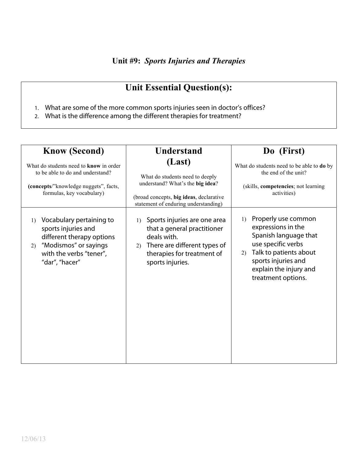- 1. What are some of the more common sports injuries seen in doctor's offices?
- 2. What is the difference among the different therapies for treatment?

| <b>Know (Second)</b>                                                                                                                                            | <b>Understand</b>                                                                                                                                                        | Do (First)                                                                                                                                                                                            |
|-----------------------------------------------------------------------------------------------------------------------------------------------------------------|--------------------------------------------------------------------------------------------------------------------------------------------------------------------------|-------------------------------------------------------------------------------------------------------------------------------------------------------------------------------------------------------|
| What do students need to know in order<br>to be able to do and understand?<br>(concepts/"knowledge nuggets", facts,<br>formulas, key vocabulary)                | (Last)<br>What do students need to deeply<br>understand? What's the big idea?<br>(broad concepts, big ideas, declarative<br>statement of enduring understanding)         | What do students need to be able to do by<br>the end of the unit?<br>(skills, competencies; not learning<br>activities)                                                                               |
| Vocabulary pertaining to<br>1)<br>sports injuries and<br>different therapy options<br>"Modismos" or sayings<br>(2)<br>with the verbs "tener",<br>"dar", "hacer" | Sports injuries are one area<br>1)<br>that a general practitioner<br>deals with.<br>There are different types of<br>2)<br>therapies for treatment of<br>sports injuries. | Properly use common<br>1)<br>expressions in the<br>Spanish language that<br>use specific verbs<br>Talk to patients about<br>2)<br>sports injuries and<br>explain the injury and<br>treatment options. |